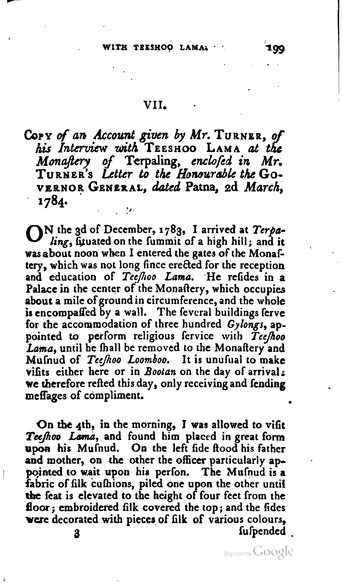#### VII.

**COPY of** *arb* **h~nt** *@~tn by Mr.* **TURNER, <sup>o</sup>** *his Interview with* **TEESHOO LAMA at** *t* **h! <sup>e</sup> Monawy** of **Terpaling,** *enclofid* **in** *Mr.*  **TURNER'S** *Letter* **to** *the Homura6bk the* **Go-VEPNOR GENERAL, dated Patna, ed** *March,*  **1784.** ' **<sup>f</sup>** . .

ON the **3d** of December, **1783,** I arrived at *Tcrpa*ling, fituated on the fummit of a high hill; and it **was** about noon when I entered the gates of the MonaF tery, which was not long fince erected for the reception and education of Teefhoo Lama. He refides in a Palace in the center of the Monaftery, which occupies about a mile of ground in circumference, and the whole is encompaffed by a wall. The feveral buildings ferve for the accommodation of three hundred Gylongs, appointed to perform religious fervice with Tee/hoo Lama, until he fhall be removed to the Monaftery and Mufnud of *TceJoo* Loomboo. It is unufiial to make vifits either here or in Bootan on the day **of** arrival; we therefore refted this day, only receiving and fending meffages of compliment.

On the 4th, in the morning, I was allowed to vifit Teefhoo Lama, and found him placed in great form upon his Mufnud. On the left fide flood his father and mother, on the other the officer particularly appointed to wait upon his perfon. The Mufnud is a fabric of filk culhions, piled one upon the other until the feat is elevated to the height of four feet from the **floor;** embroidered **filk** covered the top; and the **fides vere** decorated with pieces, of iilk of various colours, 3 fuser and superconduction of  $\mathbf{q}$ 

Digitized by GOOgle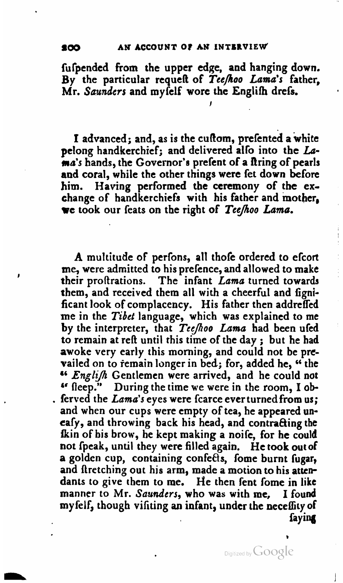fufpended from the upper edge, and hanging down. By the particular requeR of *Teejloo* Lama's father, Mr. *Saunders* and myfelf wore the Englifh drefs.

**I** 

I advanced; and, as is the cuftom, prefented a white pelong handkerchief; and delivered allo into the La**ma's** hands, the Governor's prefent of a Rring of pearls and coral, while the other things were fet down before him. Having performed the ceremony of the exchange of handkerchiefs with his father and mother, **we** took our feats on the right of *TeeJiroo* Lama.

A multitude of perfons, all thofe ordered to efcort me, were admitted to his prefence, and allowed to make their proftrations. The infant Lama turned towards them, and received them all with a cheerful and **figni**ficant look of complacency. His father then addreffed me in the *Tibet* language, which was explained to me by the interpreter, that *TeeJoo* Lama had been ufed to remain at reft until this time of the day; but he had awoke very early this morning, and could not be prevailed on to remain longer in bed; for, added he, "the <sup>44</sup> English Gentlemen were arrived, and he could not <sup>4</sup> fleep." During the time we were in the room, I ob-<br>ferved the *Lama*'s eyes were fcarce ever turned from us; and when our cups were empty of tea, he appeared uneafy, and throwing back his head, and contracting the &in of his brow, he kept making a **noife,** for he could not [peak, until they were filled again. He took **out of**  a golden cup, containing confefis, fome burnt fugar, and firetching out his arm, made a motion to his attendants to give them to me. He then fent fome in like manner to Mr. Saunders, who was with me. I found **rnyfelf,** though vifiting **an** infant, under the neceffity of fay **in4** 

Digitized by Google

**I**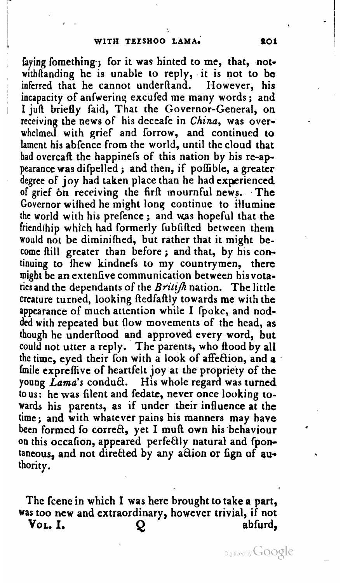faying fomething; for it was hinted to me, that, notwithfianding he is unable to reply, it is not to be inferred that he cannot underftand. However, his incapacity of anfwering excufed me many words; and I juft briefly faid, That the Governor-General, on receiving the news of his deceafe in **China,** was overwhelmed with grief and forrow, and continued to lament his abfence from the world, until the cloud that had overcaft the happinels of this nation by his re-appearance was difpelled ; and then, if pofible, a greater degree of joy had taken place than he had experienced of grief bn receiving the firfi mournful news. The Governor wihed he might lonq continue to illumine the world with his prefence ; and was hopeful that the friendthip which had formerly fubfifted between them would not be diminifhed, but rather that it might be-come Ail1 greater than before ; and that, by his continuing to fhew kindnefs to my countrymen, there might be an extenfive communication between hisvotaries and the dependants of the *Britifh* nation. The little creature turned, looking AedfaRly towards me with the appearance of much attentian while I **[poke,** and nodded with repeated but flow movements of the head, as though he underflood and approved every word, but could not utter a reply. The parents, who flood by all the time, eyed their fon with a look of affection, and a fmile exprefive of heartfelt joy at the propriety of the young Lama's conduct. His whole regard was turned to us: he was filent and fedate, never once looking towards his parents, as if under their influence at the time; and with whatever pains his manners may have been formed fo correct, yet I muft own his behaviour on this occafion, appeared perfectly natural and fpontaneous, and not diretted by any aQion or **fign** of authority.

The fcene in which I was here brought to take a part, **was** too new and extraordinary, however trivial, if not **VOL.** I. *Q* abfurd,

Digitized by **GOOgle**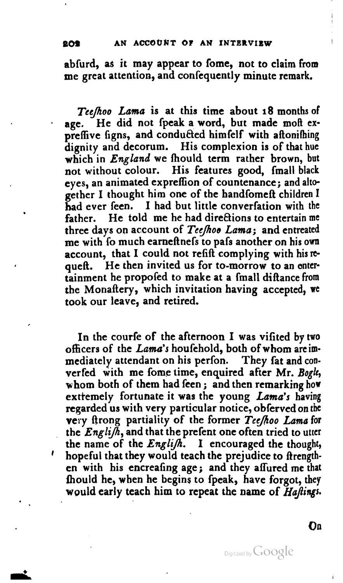abfurd, as it may appear to fome, not to claim **from**  me great attention, and confequently minute remark.

*TcejAoo Lama* is at this time about 18 months of age. He did not fpeak a word, but made moft expreffive figns, and conducted himfelf with aftonifhing dignity and decorum. His complexion is of that hue which in *England* we fhould term rather brown, **but**  not without colour. His features good, fmall black eyes, an animated expreffion of countenance; and altogether I thought him one of the handfomeft children I had ever feen. I had but little converfation with the father. He told me he had directions to entertain me three days on account of *Tee/oe Lama;* and entreated me with To much earnefinefs to pafs another on his **own**  account, that I could not refift complying with his requeft. He then invited us for to-morrow to an entertainment he propofed to make at a fmall difiance from the Monaftery, which invitation having accepted, **wc**  took our leave, and retired.

In the courfe of the afternoon I was vifited by two officers of the *Lama's* houfehold, both of whom areimmediately attendant on his perfon. They fat and converfed with me fome time, enquired after Mr. *Bogk,*  whom both of them had feen ; and then remarking how exttemely fortunate it was the young *Lama's* having regarded us with very particular notice, obferved on the very firong partiality of the former *TccJlioo Lana* **for**  the  $English$ , and that the prefent one often tried to utter<br>the name of the  $English$ . I encouraged the thought, ' hopeful that they would teach the prejudice to ftrength**en** with his encreafing age; and they affured me that fhould he, when he begins to fpeak, have forgot, they would early teach him to repeat the name of **HaJtings.** 

**On** 

Digitized by GOOgle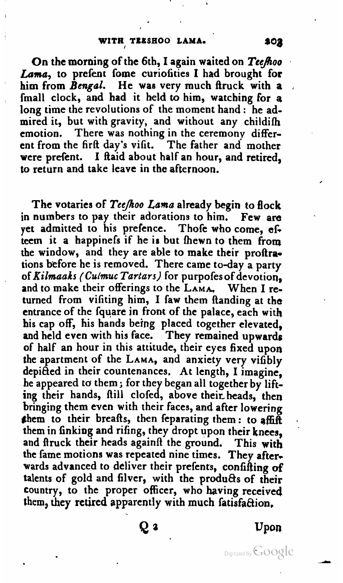On the morning of the 6th, I again waited on *TceJoo*  **Lama,** to prefent fome curiofities I had brought for him from Bengal. He was very much ftruck with a fmall clock, and had it held to him, watching for a long time the revolutions of the moment hand : he admired it, but with gravity, and without any childifh emotion. There was nothing in the ceremony different from the firit day's vifit. The father and mother were prefent. I ftaid about half an hour, and retired, to return and take leave in the afternoon.

The votaries of *Tcejloo* **Lama** already begin to flock in numbers to pay their adorations to him. **Few** are yet admitted to his prefence. Thofe who come, **eG**  teem it a happinefs if he is but fhewn to them from the window, and they are able to make their proftrations before he is removed. There came to-day a party of *Rilmaaks* **(Culmuc** *Tartars)* for purpofesof devotion, and to make their offerings to the **LAMA.** When I returned from vifiting him, I faw them ftanding at the entrance of the fquare in front of the palace, each with his cap off, his hands being placed together elevated, and held even with his face. They remained upwards of half an hour in this attitude, their eyes fixed upon the apartment of the **LAMA,** and anxiety very vifibly depicted in their countenances, At length, I imagine, he appeared ta them ; for the began all together **by** lifting their hands, ftill clofed, above their heads, then bringing them even with their faces, and after lowering \$hem to their brealts, then feparating them: to **qffiif**  them in finking and rifing, they dropt upon their knees, and firuck their heads againft the ground. This with the fame motions was repeated nine times. They afterwards advanced to deliver their prefents, confifiing **of**  talents of gold and filver, with the products of their country, to the proper officer, who having received them, they retired apparently with much fatisfaction.

Qз

**Upon** 

Digitized by Google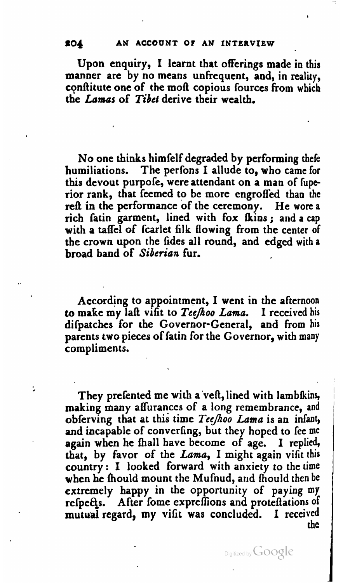Upon enquiry, I learnt that offerings made in this manner are by no means unfrequent, and, in reality, conftitute one of the mofi copious fources from which the *Lamas* of Tibet derive their wealth.

No one thinks himfelf degraded **by** performing there humiliations. The perfons I allude to, who came for this devout purpofe, were attendant on a man of **fupc**  rior rank, that feemed to be more engroffed than the reft in the performance of the ceremony. He **wore** a rich fatin garment, lined with fox &ins ; and a cap with a taifel of fcarlet **filk** flowing from the center of the crown upon the fides all round, and edged with a broad band of Siberian fur.

According to appointment, I went in the afternoon to **make** my laR vifit to *TecJoo Lama.* I received his difpatches for the Governor-General, and from his parents two pieces of fatin for the Governor, with **many**  compliments.

They prefented me with a veft, lined with lambfkins, making many affurances of a long remembrance, and obferving that at this time *TeeJlroo Lama* is an infant, and incapable of converfing, but they hoped to fee me again when he **hall** have become of age. **I** replied, that, by fivor of the *Lama,* I might again vifit this country : I looked forward with anxiety to the time when he fhould mount the Mufnud, and fhould then be extremely happy in the opportunity of paying my refpects. After fome expreffions and proteftations of mutual regard, my vifit was concluded. I received **the** 

í,

Digitized by Google